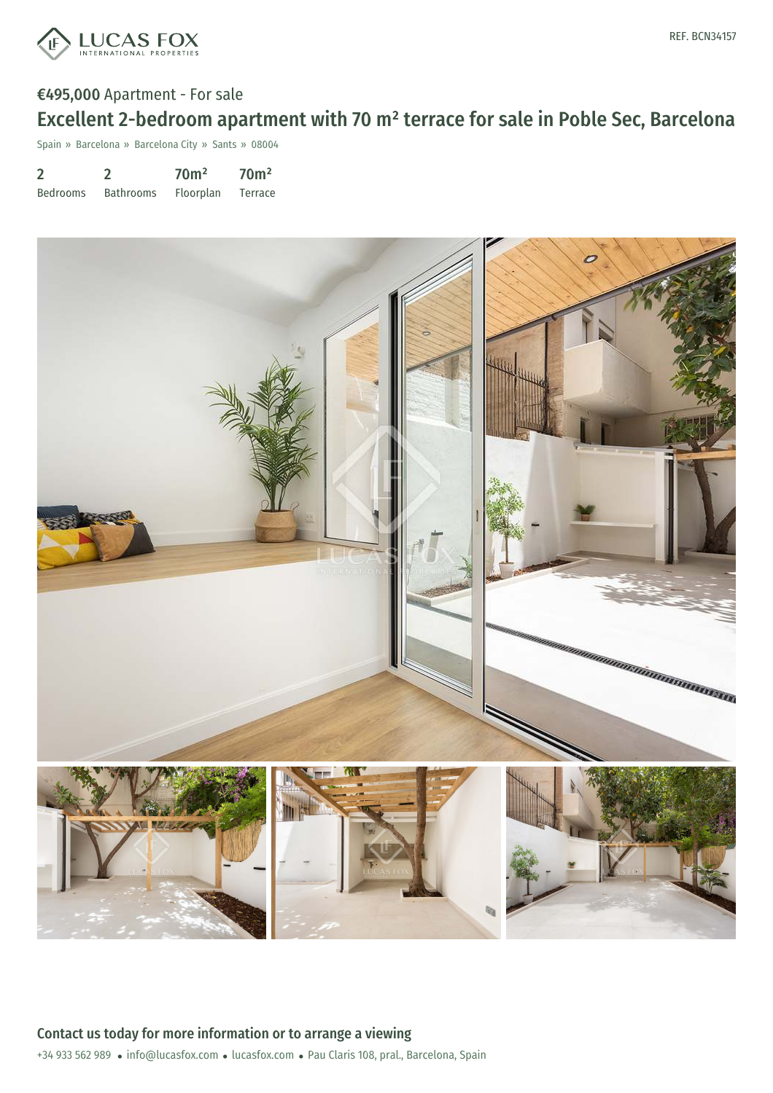

Spain » Barcelona » Barcelona City » Sants » 08004

2 Bedrooms 2 Bathrooms 70m² Floorplan 70m² Terrace

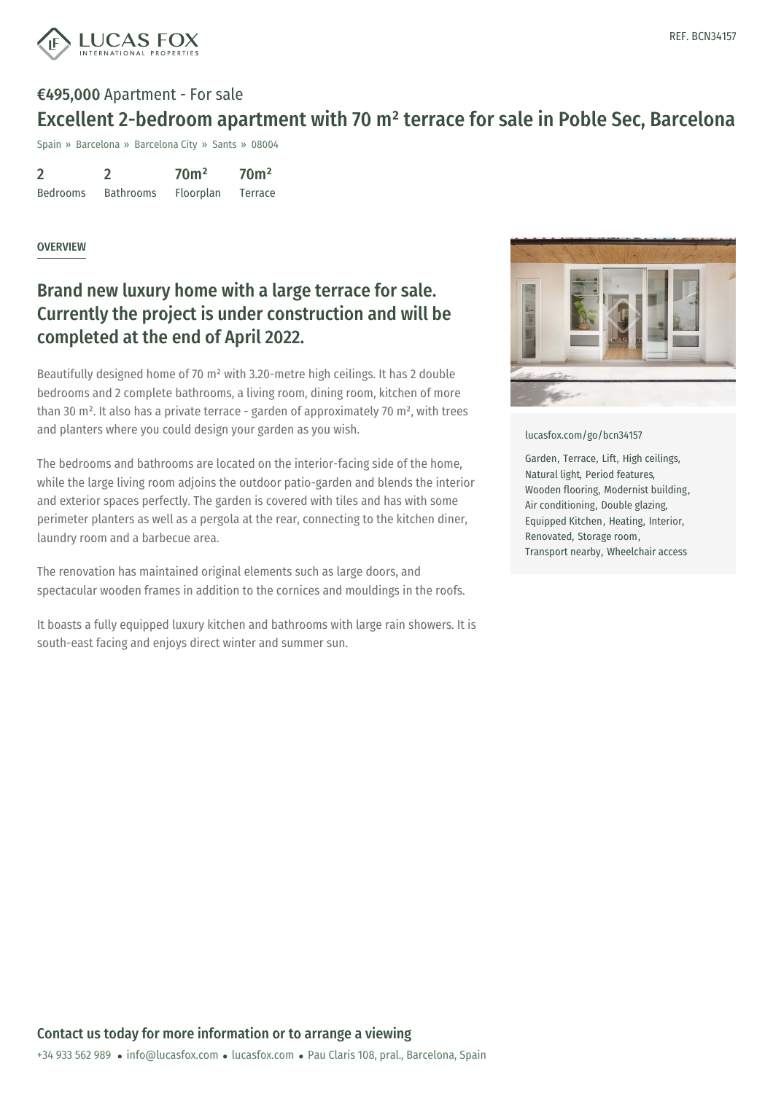

## €495,000 Apartment - For sale Excellent 2-bedroom apartment with 70 m² terrace for sale in Poble Sec, Barcelona

Spain » Barcelona » Barcelona City » Sants » 08004

2 Bedrooms 2 Bathrooms 70m² Floorplan 70m² Terrace

## **OVERVIEW**

## Brand new luxury home with a large terrace for sale. Currently the project is under construction and will be completed at the end of April 2022.

Beautifully designed home of 70 m² with 3.20-metre high ceilings. It has 2 double bedrooms and 2 complete bathrooms, a living room, dining room, kitchen of more than 30  $m^2$ . It also has a private terrace - garden of approximately 70  $m^2$ , with trees and planters where you could design your garden as you wish.

The bedrooms and bathrooms are located on the interior-facing side of the home, while the large living room adjoins the outdoor patio-garden and blends the interior and exterior spaces perfectly. The garden is covered with tiles and has with some perimeter planters as well as a pergola at the rear, connecting to the kitchen diner, laundry room and a barbecue area.

The renovation has maintained original elements such as large doors, and spectacular wooden frames in addition to the cornices and mouldings in the roofs.

It boasts a fully equipped luxury kitchen and bathrooms with large rain showers. It is south-east facing and enjoys direct winter and summer sun.



[lucasfox.com/go/bcn34157](https://www.lucasfox.com/go/bcn34157)

Garden, Terrace, Lift, High ceilings, Natural light, Period features, Wooden flooring, Modernist building, Air conditioning, Double glazing, Equipped Kitchen, Heating, Interior, Renovated, Storage room, Transport nearby, Wheelchair access